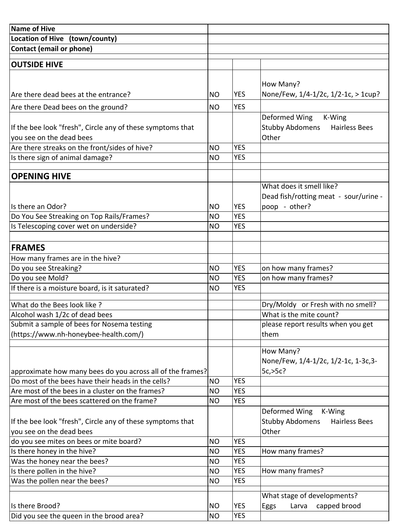| <b>Name of Hive</b>                                        |           |            |                                                        |
|------------------------------------------------------------|-----------|------------|--------------------------------------------------------|
| Location of Hive (town/county)                             |           |            |                                                        |
| <b>Contact (email or phone)</b>                            |           |            |                                                        |
|                                                            |           |            |                                                        |
| <b>OUTSIDE HIVE</b>                                        |           |            |                                                        |
|                                                            |           |            |                                                        |
|                                                            |           |            | How Many?                                              |
| Are there dead bees at the entrance?                       | <b>NO</b> | <b>YES</b> | None/Few, 1/4-1/2c, 1/2-1c, > 1cup?                    |
| Are there Dead bees on the ground?                         | <b>NO</b> | <b>YES</b> |                                                        |
|                                                            |           |            | Deformed Wing<br>K-Wing                                |
| If the bee look "fresh", Circle any of these symptoms that |           |            | <b>Stubby Abdomens</b><br><b>Hairless Bees</b>         |
| you see on the dead bees                                   |           |            | Other                                                  |
| Are there streaks on the front/sides of hive?              | <b>NO</b> | <b>YES</b> |                                                        |
| Is there sign of animal damage?                            | <b>NO</b> | <b>YES</b> |                                                        |
| <b>OPENING HIVE</b>                                        |           |            |                                                        |
|                                                            |           |            | What does it smell like?                               |
|                                                            |           |            |                                                        |
| Is there an Odor?                                          | <b>NO</b> | <b>YES</b> | Dead fish/rotting meat - sour/urine -<br>poop - other? |
| Do You See Streaking on Top Rails/Frames?                  | <b>NO</b> | <b>YES</b> |                                                        |
| Is Telescoping cover wet on underside?                     | <b>NO</b> | <b>YES</b> |                                                        |
|                                                            |           |            |                                                        |
| <b>FRAMES</b>                                              |           |            |                                                        |
| How many frames are in the hive?                           |           |            |                                                        |
| Do you see Streaking?                                      | <b>NO</b> | <b>YES</b> | on how many frames?                                    |
| Do you see Mold?                                           | <b>NO</b> | <b>YES</b> | on how many frames?                                    |
| If there is a moisture board, is it saturated?             | <b>NO</b> | <b>YES</b> |                                                        |
|                                                            |           |            |                                                        |
| What do the Bees look like ?                               |           |            | Dry/Moldy or Fresh with no smell?                      |
| Alcohol wash 1/2c of dead bees                             |           |            | What is the mite count?                                |
| Submit a sample of bees for Nosema testing                 |           |            | please report results when you get                     |
| (https://www.nh-honeybee-health.com/)                      |           |            | them                                                   |
|                                                            |           |            | How Many?                                              |
|                                                            |           |            | None/Few, 1/4-1/2c, 1/2-1c, 1-3c, 3-                   |
| approximate how many bees do you across all of the frames? |           |            | 5c, >5c?                                               |
| Do most of the bees have their heads in the cells?         | <b>NO</b> | <b>YES</b> |                                                        |
| Are most of the bees in a cluster on the frames?           | <b>NO</b> | <b>YES</b> |                                                        |
| Are most of the bees scattered on the frame?               | <b>NO</b> | <b>YES</b> |                                                        |
|                                                            |           |            | Deformed Wing<br>K-Wing                                |
| If the bee look "fresh", Circle any of these symptoms that |           |            | <b>Stubby Abdomens</b><br><b>Hairless Bees</b>         |
| you see on the dead bees                                   |           |            | Other                                                  |
| do you see mites on bees or mite board?                    | <b>NO</b> | <b>YES</b> |                                                        |
| Is there honey in the hive?                                | <b>NO</b> | <b>YES</b> | How many frames?                                       |
| Was the honey near the bees?                               | <b>NO</b> | <b>YES</b> |                                                        |
| Is there pollen in the hive?                               | <b>NO</b> | <b>YES</b> | How many frames?                                       |
| Was the pollen near the bees?                              | <b>NO</b> | <b>YES</b> |                                                        |
|                                                            |           |            | What stage of developments?                            |
| Is there Brood?                                            | <b>NO</b> | <b>YES</b> | capped brood<br>Eggs<br>Larva                          |
| Did you see the queen in the brood area?                   | <b>NO</b> | <b>YES</b> |                                                        |
|                                                            |           |            |                                                        |